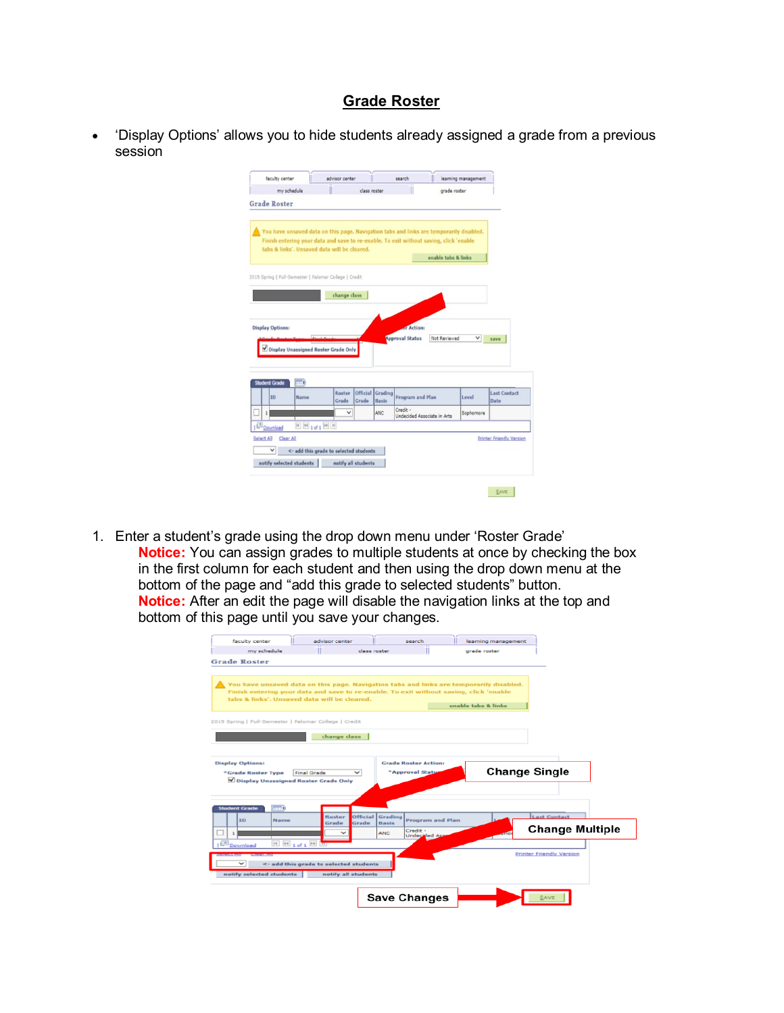## **Grade Roster**

• 'Display Options' allows you to hide students already assigned a grade from a previous session

|                                                        | my schedule                       |                                        | class roster                          |                                                                                                                                                                                   | grade roster        |                                 |
|--------------------------------------------------------|-----------------------------------|----------------------------------------|---------------------------------------|-----------------------------------------------------------------------------------------------------------------------------------------------------------------------------------|---------------------|---------------------------------|
|                                                        |                                   |                                        |                                       |                                                                                                                                                                                   |                     |                                 |
| <b>Grade Roster</b>                                    |                                   |                                        |                                       |                                                                                                                                                                                   |                     |                                 |
|                                                        |                                   |                                        |                                       |                                                                                                                                                                                   |                     |                                 |
|                                                        |                                   |                                        |                                       |                                                                                                                                                                                   |                     |                                 |
|                                                        |                                   |                                        |                                       | You have unsaved data on this page. Navigation tabs and links are temporarily disabled.<br>Finish entering your data and save to re-enable. To exit without saving, click 'enable |                     |                                 |
| tabs & links'. Unsaved data will be cleared.           |                                   |                                        |                                       |                                                                                                                                                                                   |                     |                                 |
|                                                        |                                   |                                        |                                       |                                                                                                                                                                                   | enable tabs & links |                                 |
|                                                        |                                   |                                        |                                       |                                                                                                                                                                                   |                     |                                 |
| 2019 Spring   Full-Semester   Palomar College   Credit |                                   |                                        |                                       |                                                                                                                                                                                   |                     |                                 |
|                                                        |                                   |                                        |                                       |                                                                                                                                                                                   |                     |                                 |
|                                                        |                                   | change class                           |                                       |                                                                                                                                                                                   |                     |                                 |
|                                                        |                                   |                                        |                                       |                                                                                                                                                                                   |                     |                                 |
|                                                        |                                   |                                        |                                       |                                                                                                                                                                                   |                     |                                 |
|                                                        |                                   |                                        |                                       |                                                                                                                                                                                   |                     |                                 |
|                                                        |                                   |                                        |                                       |                                                                                                                                                                                   |                     |                                 |
|                                                        |                                   |                                        |                                       |                                                                                                                                                                                   |                     |                                 |
| <b>Display Options:</b>                                |                                   |                                        |                                       | <b>P</b> Actions                                                                                                                                                                  |                     |                                 |
|                                                        |                                   |                                        |                                       | <b>Approval Status</b>                                                                                                                                                            | Not Reviewed<br>v   | save                            |
| Display Unassigned Roster Grade Only                   |                                   |                                        |                                       |                                                                                                                                                                                   |                     |                                 |
|                                                        |                                   |                                        |                                       |                                                                                                                                                                                   |                     |                                 |
|                                                        |                                   |                                        |                                       |                                                                                                                                                                                   |                     |                                 |
|                                                        |                                   |                                        |                                       |                                                                                                                                                                                   |                     |                                 |
|                                                        | $\overline{\mathbf{m}}$           |                                        |                                       |                                                                                                                                                                                   |                     |                                 |
| 10                                                     | Name                              | Roster<br>Grade                        | Official<br>Grading<br>Basis<br>Grade | <b>Program and Plan</b>                                                                                                                                                           | Level               | <b>Last Contact</b><br>Date     |
|                                                        |                                   |                                        |                                       | Credit -                                                                                                                                                                          |                     |                                 |
| <b>Student Grade</b><br>1                              |                                   | v                                      | ANC                                   | Undecided Associate in Arts                                                                                                                                                       | Sophomore           |                                 |
|                                                        | $H$ $H$ <sub>1 of 1</sub> $H$ $H$ |                                        |                                       |                                                                                                                                                                                   |                     |                                 |
| Download                                               |                                   |                                        |                                       |                                                                                                                                                                                   |                     |                                 |
| Clear All                                              |                                   |                                        |                                       |                                                                                                                                                                                   |                     |                                 |
| v                                                      |                                   | <- add this grade to selected students |                                       |                                                                                                                                                                                   |                     |                                 |
| Select All<br>notify selected students                 |                                   | notify all students                    |                                       |                                                                                                                                                                                   |                     | <b>Printer Friendly Version</b> |
|                                                        |                                   |                                        |                                       |                                                                                                                                                                                   |                     |                                 |

1. Enter a student's grade using the drop down menu under 'Roster Grade' **Notice:** You can assign grades to multiple students at once by checking the box in the first column for each student and then using the drop down menu at the bottom of the page and "add this grade to selected students" button. **Notice:** After an edit the page will disable the navigation links at the top and bottom of this page until you save your changes.

|                                                             |                                        | advisor center |                     | search                                                                                  | learning management |                                 |  |
|-------------------------------------------------------------|----------------------------------------|----------------|---------------------|-----------------------------------------------------------------------------------------|---------------------|---------------------------------|--|
| my schedule                                                 |                                        |                | class roster        |                                                                                         | grade roster        |                                 |  |
| <b>Grade Roster</b>                                         |                                        |                |                     |                                                                                         |                     |                                 |  |
|                                                             |                                        |                |                     |                                                                                         |                     |                                 |  |
|                                                             |                                        |                |                     | You have unsaved data on this page. Navigation tabs and links are temporarily disabled. |                     |                                 |  |
|                                                             |                                        |                |                     | Finish entering your data and save to re-enable. To exit without saving, click 'enable  |                     |                                 |  |
| tabs & links'. Unsaved data will be cleared.                |                                        |                |                     |                                                                                         | enable tabs & links |                                 |  |
|                                                             |                                        |                |                     |                                                                                         |                     |                                 |  |
| 2019 Spring   Full-Semester   Palomar College   Credit      |                                        |                |                     |                                                                                         |                     |                                 |  |
|                                                             |                                        | change class   |                     |                                                                                         |                     |                                 |  |
|                                                             |                                        |                |                     |                                                                                         |                     |                                 |  |
|                                                             |                                        |                |                     |                                                                                         |                     |                                 |  |
|                                                             |                                        |                |                     |                                                                                         |                     |                                 |  |
|                                                             |                                        |                |                     | <b>Grade Roster Action:</b>                                                             |                     |                                 |  |
| *Grade Roster Type                                          | <b>Final Grade</b>                     |                | $\checkmark$        | *Approval Statu                                                                         |                     | <b>Change Single</b>            |  |
| Display Unassigned Roster Grade Only                        |                                        |                |                     |                                                                                         |                     |                                 |  |
|                                                             |                                        |                |                     |                                                                                         |                     |                                 |  |
|                                                             | $\pi$                                  |                |                     |                                                                                         |                     |                                 |  |
| <b>ID</b>                                                   | Name                                   | Roster         | Official            | Grading<br><b>Program and Plan</b>                                                      |                     | <b>Last Contact</b>             |  |
|                                                             |                                        | Grade          | Grade               | Basis<br>Credit -                                                                       |                     |                                 |  |
|                                                             |                                        |                | <b>ANC</b>          | <b>Undecided Ass</b>                                                                    |                     | <b>Change Multiple</b>          |  |
| <b>Display Options:</b><br><b>Student Grade</b><br>Download | $[4]$ $[44]$ $1$ of $1$ $[36]$ $[71]$  |                |                     |                                                                                         |                     |                                 |  |
|                                                             |                                        |                |                     |                                                                                         |                     | <b>Printer Friendly Version</b> |  |
|                                                             | <- add this grade to selected students |                |                     |                                                                                         |                     |                                 |  |
| notify selected students                                    |                                        |                | notify all students |                                                                                         |                     |                                 |  |
|                                                             |                                        |                |                     |                                                                                         |                     |                                 |  |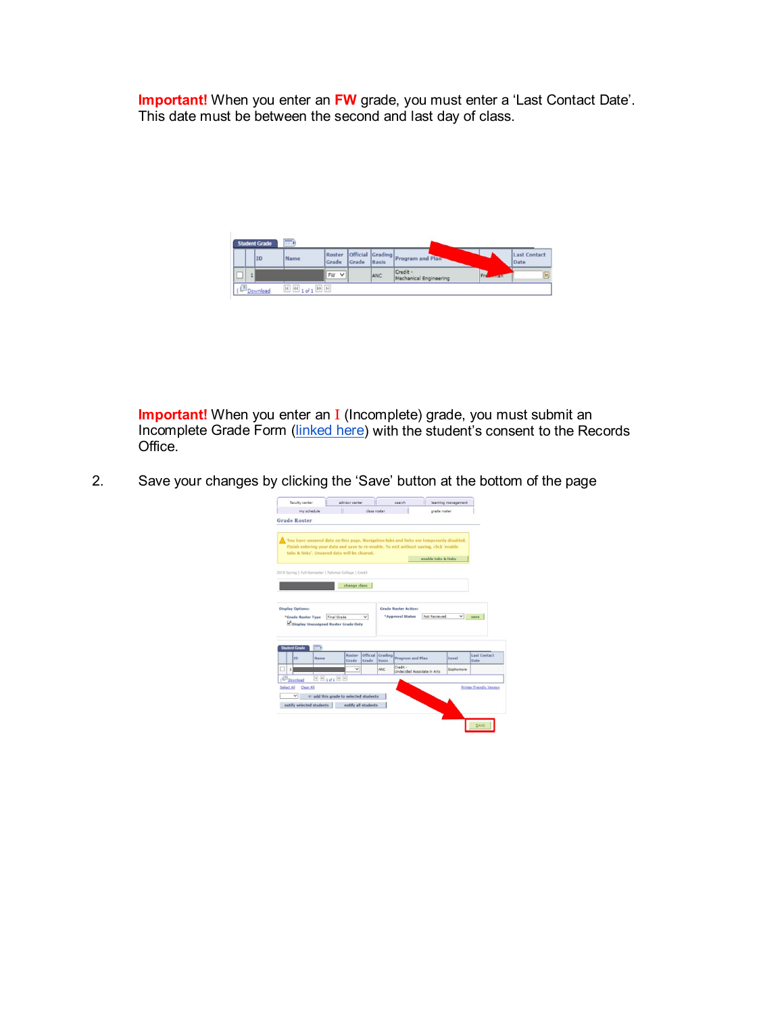**Important!** When you enter an FW grade, you must enter a 'Last Contact Date'. This date must be between the second and last day of class.

|   | <b>Student Grade</b> | <b>EHD</b>                        |                      |       |       |                                          |                |                             |
|---|----------------------|-----------------------------------|----------------------|-------|-------|------------------------------------------|----------------|-----------------------------|
|   | IID                  | Name                              | Grade                | Grade | Basis | Roster Official Grading Program and Plan |                | <b>Last Contact</b><br>Date |
| ◡ |                      |                                   | $\vee$<br><b>IFW</b> |       | ANC   | Credit -<br>Mechanical Engineering       | Fre<br><b></b> | n                           |
|   | Download             | $\boxed{H}$ (4 1 of 1 $\boxed{H}$ |                      |       |       |                                          |                |                             |

**Important!** When you enter an I (Incomplete) grade, you must submit an Incomplete Grade Form [\(linked here\)](https://www2.palomar.edu/pages/evaluationsandrecords/files/2015/06/Incompleteform.pdf) with the student's consent to the Records Office.

2. Save your changes by clicking the 'Save' button at the bottom of the page  $\frac{1}{2}$